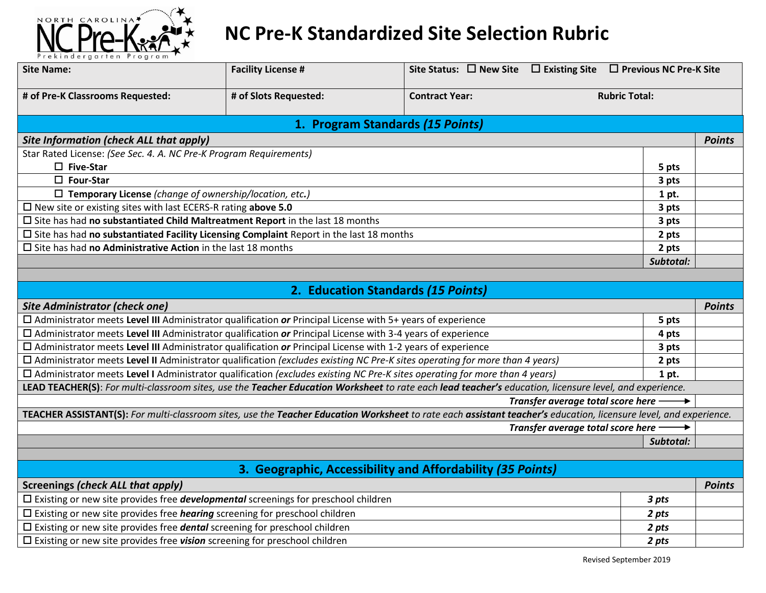

## **NC Pre-K Standardized Site Selection Rubric**

| Prekindergarten Program<br><b>Site Name:</b>                                                                                                                      | <b>Facility License #</b> |                                                            | Site Status: $\Box$ New Site $\Box$ Existing Site $\Box$ Previous NC Pre-K Site |                      |               |
|-------------------------------------------------------------------------------------------------------------------------------------------------------------------|---------------------------|------------------------------------------------------------|---------------------------------------------------------------------------------|----------------------|---------------|
|                                                                                                                                                                   |                           |                                                            |                                                                                 |                      |               |
| # of Pre-K Classrooms Requested:                                                                                                                                  | # of Slots Requested:     | <b>Contract Year:</b>                                      |                                                                                 | <b>Rubric Total:</b> |               |
|                                                                                                                                                                   |                           | 1. Program Standards (15 Points)                           |                                                                                 |                      |               |
| <b>Site Information (check ALL that apply)</b>                                                                                                                    |                           |                                                            |                                                                                 |                      | <b>Points</b> |
| Star Rated License: (See Sec. 4. A. NC Pre-K Program Requirements)                                                                                                |                           |                                                            |                                                                                 |                      |               |
| $\square$ Five-Star                                                                                                                                               |                           |                                                            |                                                                                 | 5 pts                |               |
| $\square$ Four-Star                                                                                                                                               |                           |                                                            |                                                                                 | 3 pts                |               |
| $\Box$ Temporary License (change of ownership/location, etc.)                                                                                                     |                           |                                                            |                                                                                 | 1 pt.                |               |
| $\square$ New site or existing sites with last ECERS-R rating above 5.0                                                                                           |                           |                                                            |                                                                                 | 3 pts                |               |
| $\square$ Site has had no substantiated Child Maltreatment Report in the last 18 months                                                                           |                           |                                                            | 3 pts                                                                           |                      |               |
| $\square$ Site has had no substantiated Facility Licensing Complaint Report in the last 18 months                                                                 |                           |                                                            | 2 pts                                                                           |                      |               |
| $\square$ Site has had no Administrative Action in the last 18 months                                                                                             |                           |                                                            |                                                                                 | 2 pts                |               |
|                                                                                                                                                                   |                           |                                                            |                                                                                 | Subtotal:            |               |
|                                                                                                                                                                   |                           |                                                            |                                                                                 |                      |               |
|                                                                                                                                                                   |                           | 2. Education Standards (15 Points)                         |                                                                                 |                      |               |
| Site Administrator (check one)                                                                                                                                    |                           |                                                            |                                                                                 |                      | <b>Points</b> |
| $\Box$ Administrator meets Level III Administrator qualification or Principal License with 5+ years of experience                                                 |                           |                                                            |                                                                                 | 5 pts                |               |
| $\Box$ Administrator meets Level III Administrator qualification or Principal License with 3-4 years of experience                                                |                           |                                                            |                                                                                 | 4 pts                |               |
| $\Box$ Administrator meets Level III Administrator qualification or Principal License with 1-2 years of experience                                                |                           |                                                            | 3 pts                                                                           |                      |               |
| $\Box$ Administrator meets Level II Administrator qualification (excludes existing NC Pre-K sites operating for more than 4 years)                                |                           |                                                            | 2 pts                                                                           |                      |               |
| □ Administrator meets Level I Administrator qualification (excludes existing NC Pre-K sites operating for more than 4 years)                                      |                           |                                                            | 1 pt.                                                                           |                      |               |
| LEAD TEACHER(S): For multi-classroom sites, use the Teacher Education Worksheet to rate each lead teacher's education, licensure level, and experience.           |                           |                                                            |                                                                                 |                      |               |
|                                                                                                                                                                   |                           |                                                            | Transfer average total score here -                                             |                      |               |
| TEACHER ASSISTANT(S): For multi-classroom sites, use the Teacher Education Worksheet to rate each assistant teacher's education, licensure level, and experience. |                           |                                                            |                                                                                 |                      |               |
|                                                                                                                                                                   |                           |                                                            | Transfer average total score here                                               |                      |               |
|                                                                                                                                                                   |                           |                                                            |                                                                                 | Subtotal:            |               |
|                                                                                                                                                                   |                           |                                                            |                                                                                 |                      |               |
|                                                                                                                                                                   |                           | 3. Geographic, Accessibility and Affordability (35 Points) |                                                                                 |                      |               |
| <b>Screenings (check ALL that apply)</b>                                                                                                                          |                           |                                                            |                                                                                 |                      | <b>Points</b> |
| $\square$ Existing or new site provides free <b>developmental</b> screenings for preschool children                                                               |                           |                                                            |                                                                                 | 3 pts                |               |
| $\Box$ Existing or new site provides free <i>hearing</i> screening for preschool children                                                                         |                           |                                                            |                                                                                 | 2 pts                |               |
| $\Box$ Existing or new site provides free <b>dental</b> screening for preschool children                                                                          |                           |                                                            |                                                                                 | 2 pts                |               |
| $\Box$ Existing or new site provides free <b>vision</b> screening for preschool children                                                                          |                           | 2 pts                                                      |                                                                                 |                      |               |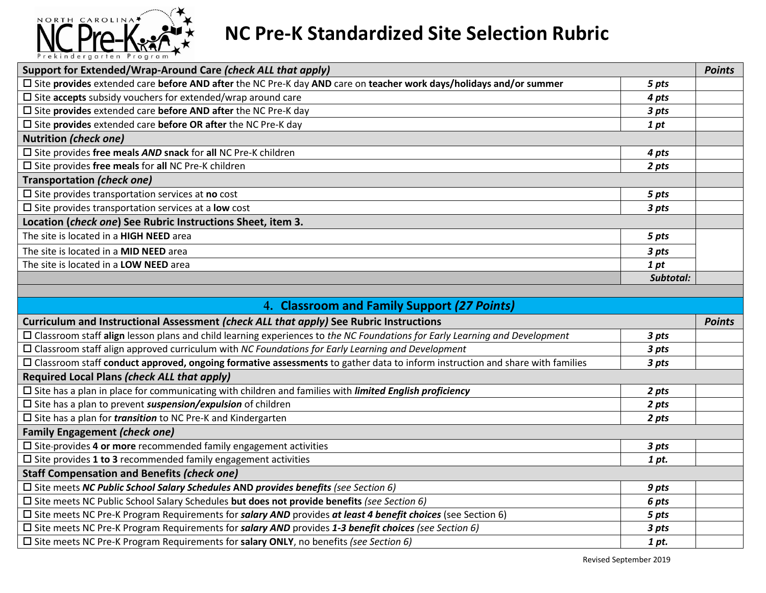

## **NC Pre-K Standardized Site Selection Rubric**

| Support for Extended/Wrap-Around Care (check ALL that apply)                                                                       |           | <b>Points</b> |
|------------------------------------------------------------------------------------------------------------------------------------|-----------|---------------|
| $\Box$ Site provides extended care before AND after the NC Pre-K day AND care on teacher work days/holidays and/or summer<br>5 pts |           |               |
| $\Box$ Site accepts subsidy vouchers for extended/wrap around care                                                                 | 4 pts     |               |
| $\square$ Site provides extended care before AND after the NC Pre-K day                                                            |           |               |
| $\square$ Site provides extended care before OR after the NC Pre-K day                                                             |           |               |
| <b>Nutrition (check one)</b>                                                                                                       |           |               |
| $\square$ Site provides free meals AND snack for all NC Pre-K children                                                             | 4 pts     |               |
| $\square$ Site provides free meals for all NC Pre-K children                                                                       | 2 pts     |               |
| Transportation (check one)                                                                                                         |           |               |
| $\square$ Site provides transportation services at no cost                                                                         | 5 pts     |               |
| $\square$ Site provides transportation services at a <b>low</b> cost                                                               |           |               |
| Location (check one) See Rubric Instructions Sheet, item 3.                                                                        |           |               |
| The site is located in a HIGH NEED area                                                                                            | 5 pts     |               |
| The site is located in a MID NEED area<br>3 pts                                                                                    |           |               |
| The site is located in a <b>LOW NEED</b> area<br>1 pt                                                                              |           |               |
|                                                                                                                                    | Subtotal: |               |
|                                                                                                                                    |           |               |

| 4. Classroom and Family Support (27 Points)                                                                                         |  |               |  |  |
|-------------------------------------------------------------------------------------------------------------------------------------|--|---------------|--|--|
| Curriculum and Instructional Assessment (check ALL that apply) See Rubric Instructions                                              |  | <b>Points</b> |  |  |
| □ Classroom staff align lesson plans and child learning experiences to the NC Foundations for Early Learning and Development        |  |               |  |  |
| $\Box$ Classroom staff align approved curriculum with NC Foundations for Early Learning and Development                             |  |               |  |  |
| $\Box$ Classroom staff conduct approved, ongoing formative assessments to gather data to inform instruction and share with families |  |               |  |  |
| Required Local Plans (check ALL that apply)                                                                                         |  |               |  |  |
| $\square$ Site has a plan in place for communicating with children and families with <i>limited English proficiency</i>             |  |               |  |  |
| $\square$ Site has a plan to prevent suspension/expulsion of children                                                               |  |               |  |  |
| $\square$ Site has a plan for <i>transition</i> to NC Pre-K and Kindergarten                                                        |  |               |  |  |
| <b>Family Engagement (check one)</b>                                                                                                |  |               |  |  |
| $\square$ Site-provides 4 or more recommended family engagement activities                                                          |  |               |  |  |
| $\square$ Site provides 1 to 3 recommended family engagement activities                                                             |  |               |  |  |
| <b>Staff Compensation and Benefits (check one)</b>                                                                                  |  |               |  |  |
| $\square$ Site meets NC Public School Salary Schedules AND provides benefits (see Section 6)                                        |  |               |  |  |
| $\square$ Site meets NC Public School Salary Schedules but does not provide benefits (see Section 6)                                |  |               |  |  |
| $\square$ Site meets NC Pre-K Program Requirements for salary AND provides at least 4 benefit choices (see Section 6)<br>5 pts      |  |               |  |  |
| $\square$ Site meets NC Pre-K Program Requirements for salary AND provides 1-3 benefit choices (see Section 6)<br>3 pts             |  |               |  |  |
| $\Box$ Site meets NC Pre-K Program Requirements for salary ONLY, no benefits (see Section 6)<br>1 pt.                               |  |               |  |  |